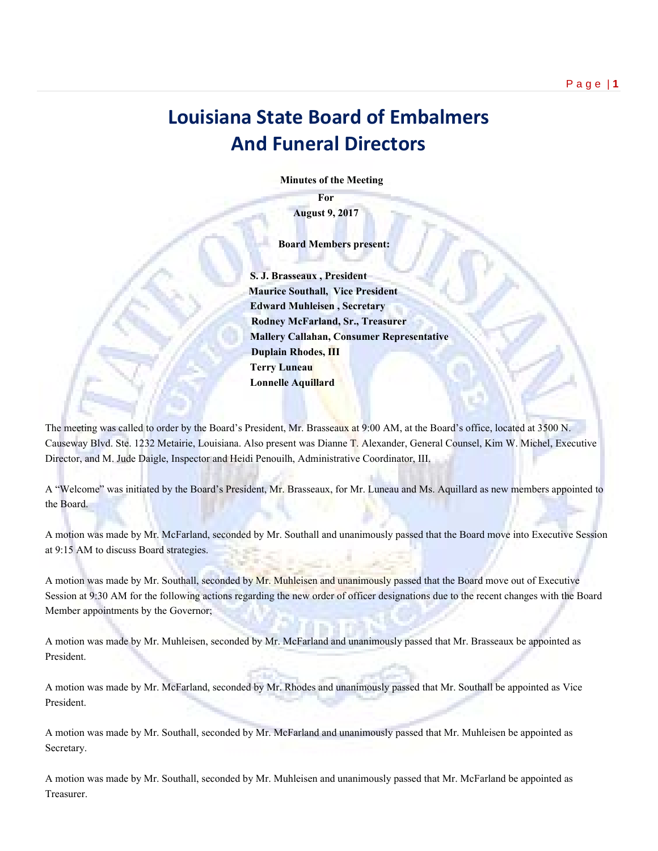## **Louisiana State Board of Embalmers And Funeral Directors**

 **Minutes of the Meeting**

**For August 9, 2017**

 **Board Members present:**

 **S. J. Brasseaux , President Maurice Southall, Vice President Edward Muhleisen , Secretary Rodney McFarland, Sr., Treasurer Mallery Callahan, Consumer Representative Duplain Rhodes, III Terry Luneau Lonnelle Aquillard**

The meeting was called to order by the Board's President, Mr. Brasseaux at 9:00 AM, at the Board's office, located at 3500 N. Causeway Blvd. Ste. 1232 Metairie, Louisiana. Also present was Dianne T. Alexander, General Counsel, Kim W. Michel, Executive Director, and M. Jude Daigle, Inspector and Heidi Penouilh, Administrative Coordinator, III.

A "Welcome" was initiated by the Board's President, Mr. Brasseaux, for Mr. Luneau and Ms. Aquillard as new members appointed to the Board.

A motion was made by Mr. McFarland, seconded by Mr. Southall and unanimously passed that the Board move into Executive Session at 9:15 AM to discuss Board strategies.

A motion was made by Mr. Southall, seconded by Mr. Muhleisen and unanimously passed that the Board move out of Executive Session at 9:30 AM for the following actions regarding the new order of officer designations due to the recent changes with the Board Member appointments by the Governor;

A motion was made by Mr. Muhleisen, seconded by Mr. McFarland and unanimously passed that Mr. Brasseaux be appointed as President.

A motion was made by Mr. McFarland, seconded by Mr. Rhodes and unanimously passed that Mr. Southall be appointed as Vice President.

A motion was made by Mr. Southall, seconded by Mr. McFarland and unanimously passed that Mr. Muhleisen be appointed as Secretary.

A motion was made by Mr. Southall, seconded by Mr. Muhleisen and unanimously passed that Mr. McFarland be appointed as Treasurer.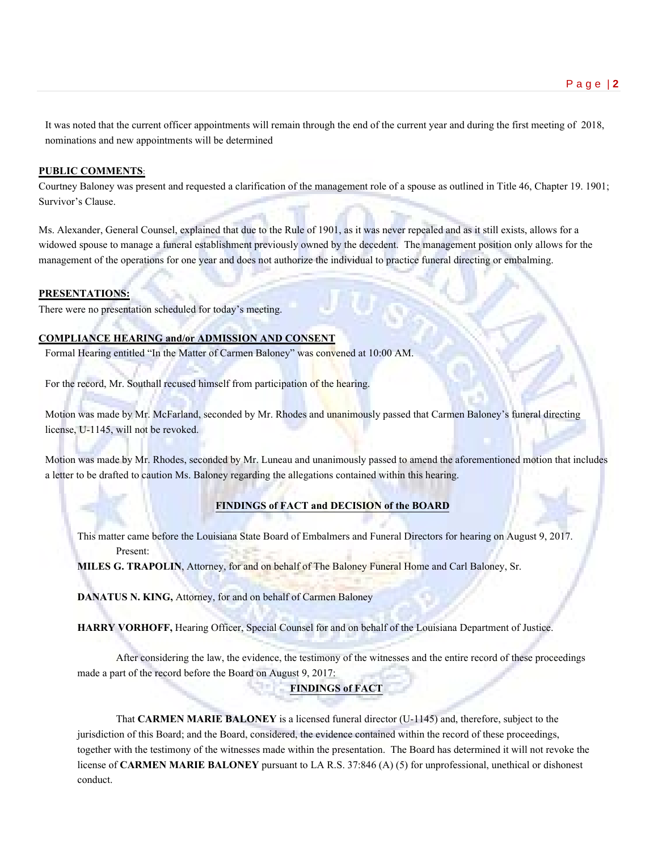It was noted that the current officer appointments will remain through the end of the current year and during the first meeting of 2018, nominations and new appointments will be determined

### **PUBLIC COMMENTS**:

Courtney Baloney was present and requested a clarification of the management role of a spouse as outlined in Title 46, Chapter 19. 1901; Survivor's Clause.

Ms. Alexander, General Counsel, explained that due to the Rule of 1901, as it was never repealed and as it still exists, allows for a widowed spouse to manage a funeral establishment previously owned by the decedent. The management position only allows for the management of the operations for one year and does not authorize the individual to practice funeral directing or embalming.

#### **PRESENTATIONS:**

There were no presentation scheduled for today's meeting.

### **COMPLIANCE HEARING and/or ADMISSION AND CONSENT**

Formal Hearing entitled "In the Matter of Carmen Baloney" was convened at 10:00 AM.

For the record, Mr. Southall recused himself from participation of the hearing.

Motion was made by Mr. McFarland, seconded by Mr. Rhodes and unanimously passed that Carmen Baloney's funeral directing license, U-1145, will not be revoked.

Motion was made by Mr. Rhodes, seconded by Mr. Luneau and unanimously passed to amend the aforementioned motion that includes a letter to be drafted to caution Ms. Baloney regarding the allegations contained within this hearing.

### **FINDINGS of FACT and DECISION of the BOARD**

This matter came before the Louisiana State Board of Embalmers and Funeral Directors for hearing on August 9, 2017. Present:

**MILES G. TRAPOLIN**, Attorney, for and on behalf of The Baloney Funeral Home and Carl Baloney, Sr.

**DANATUS N. KING,** Attorney, for and on behalf of Carmen Baloney

**HARRY VORHOFF,** Hearing Officer, Special Counsel for and on behalf of the Louisiana Department of Justice.

After considering the law, the evidence, the testimony of the witnesses and the entire record of these proceedings made a part of the record before the Board on August 9, 2017:

### **FINDINGS of FACT**

That **CARMEN MARIE BALONEY** is a licensed funeral director (U-1145) and, therefore, subject to the jurisdiction of this Board; and the Board, considered, the evidence contained within the record of these proceedings, together with the testimony of the witnesses made within the presentation. The Board has determined it will not revoke the license of **CARMEN MARIE BALONEY** pursuant to LA R.S. 37:846 (A) (5) for unprofessional, unethical or dishonest conduct.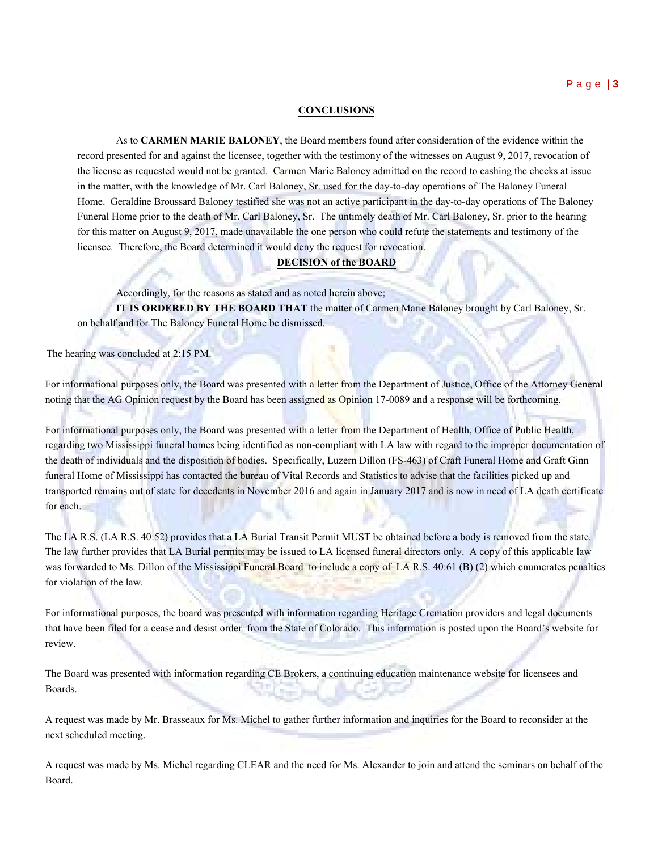### **CONCLUSIONS**

As to **CARMEN MARIE BALONEY**, the Board members found after consideration of the evidence within the record presented for and against the licensee, together with the testimony of the witnesses on August 9, 2017, revocation of the license as requested would not be granted. Carmen Marie Baloney admitted on the record to cashing the checks at issue in the matter, with the knowledge of Mr. Carl Baloney, Sr. used for the day-to-day operations of The Baloney Funeral Home. Geraldine Broussard Baloney testified she was not an active participant in the day-to-day operations of The Baloney Funeral Home prior to the death of Mr. Carl Baloney, Sr. The untimely death of Mr. Carl Baloney, Sr. prior to the hearing for this matter on August 9, 2017, made unavailable the one person who could refute the statements and testimony of the licensee. Therefore, the Board determined it would deny the request for revocation.

### **DECISION of the BOARD**

Accordingly, for the reasons as stated and as noted herein above;

**IT IS ORDERED BY THE BOARD THAT** the matter of Carmen Marie Baloney brought by Carl Baloney, Sr. on behalf and for The Baloney Funeral Home be dismissed.

The hearing was concluded at 2:15 PM.

For informational purposes only, the Board was presented with a letter from the Department of Justice, Office of the Attorney General noting that the AG Opinion request by the Board has been assigned as Opinion 17-0089 and a response will be forthcoming.

For informational purposes only, the Board was presented with a letter from the Department of Health, Office of Public Health, regarding two Mississippi funeral homes being identified as non-compliant with LA law with regard to the improper documentation of the death of individuals and the disposition of bodies. Specifically, Luzern Dillon (FS-463) of Craft Funeral Home and Graft Ginn funeral Home of Mississippi has contacted the bureau of Vital Records and Statistics to advise that the facilities picked up and transported remains out of state for decedents in November 2016 and again in January 2017 and is now in need of LA death certificate for each.

The LA R.S. (LA R.S. 40:52) provides that a LA Burial Transit Permit MUST be obtained before a body is removed from the state. The law further provides that LA Burial permits may be issued to LA licensed funeral directors only. A copy of this applicable law was forwarded to Ms. Dillon of the Mississippi Funeral Board to include a copy of LA R.S. 40:61 (B) (2) which enumerates penalties for violation of the law.

For informational purposes, the board was presented with information regarding Heritage Cremation providers and legal documents that have been filed for a cease and desist order from the State of Colorado. This information is posted upon the Board's website for review.

The Board was presented with information regarding CE Brokers, a continuing education maintenance website for licensees and Boards.

A request was made by Mr. Brasseaux for Ms. Michel to gather further information and inquiries for the Board to reconsider at the next scheduled meeting.

A request was made by Ms. Michel regarding CLEAR and the need for Ms. Alexander to join and attend the seminars on behalf of the Board.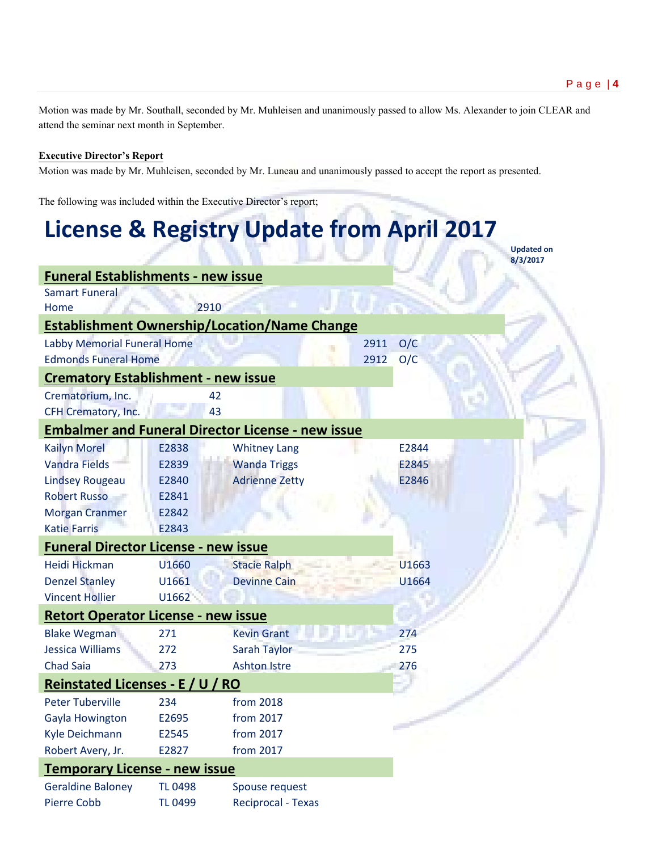**Updated on** 

Motion was made by Mr. Southall, seconded by Mr. Muhleisen and unanimously passed to allow Ms. Alexander to join CLEAR and attend the seminar next month in September.

### **Executive Director's Report**

Motion was made by Mr. Muhleisen, seconded by Mr. Luneau and unanimously passed to accept the report as presented.

The following was included within the Executive Director's report;

# **License & Registry Update from April 2017**

**8/3/2017 Funeral Establishments - new issue** Samart Funeral Home 2910 **Establishment Ownership/Location/Name Change** Labby Memorial Funeral Home 2911 O/C Edmonds Funeral Home 2012 O/C **Crematory Establishment - new issue** Crematorium, Inc. 42 CFH Crematory, Inc. 43 **Embalmer and Funeral Director License - new issue** Kailyn Morel **E2838** Whitney Lang **E2844** Vandra Fields E2839 Wanda Triggs E2845 Lindsey Rougeau E2840 Adrienne Zetty E2846 Robert Russo E2841 Morgan Cranmer E2842 Katie Farris E2843 **Funeral Director License - new issue** Heidi Hickman U1660 Stacie Ralph U1663 Denzel Stanley U1661 Devinne Cain U1664 Vincent Hollier U1662 **Retort Operator License - new issue** Blake Wegman 271 Kevin Grant 274 Jessica Williams 272 Sarah Taylor 275 Chad Saia 273 Ashton Istre 276 **Reinstated Licenses - E / U / RO** Peter Tuberville 234 from 2018 Gayla Howington E2695 from 2017 Kyle Deichmann E2545 from 2017 Robert Avery, Jr. E2827 from 2017 **Temporary License - new issue** Geraldine Baloney TL 0498 Spouse request Pierre Cobb TL 0499 Reciprocal - Texas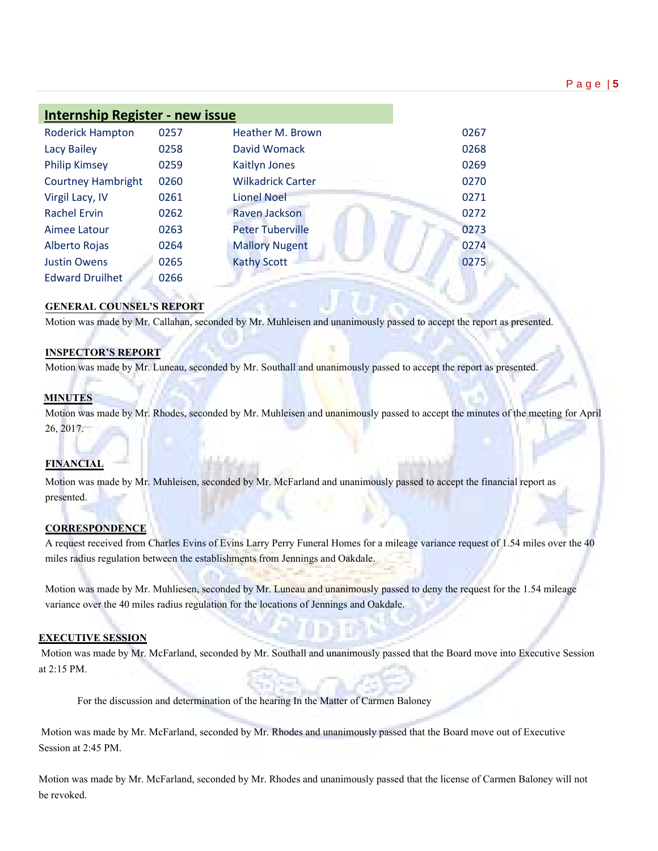| <b>Internship Register - new issue</b> |      |                          |      |
|----------------------------------------|------|--------------------------|------|
| <b>Roderick Hampton</b>                | 0257 | Heather M. Brown         | 0267 |
| <b>Lacy Bailey</b>                     | 0258 | David Womack             | 0268 |
| <b>Philip Kimsey</b>                   | 0259 | Kaitlyn Jones            | 0269 |
| <b>Courtney Hambright</b>              | 0260 | <b>Wilkadrick Carter</b> | 0270 |
| Virgil Lacy, IV                        | 0261 | <b>Lionel Noel</b>       | 0271 |
| <b>Rachel Ervin</b>                    | 0262 | Raven Jackson            | 0272 |
| Aimee Latour                           | 0263 | <b>Peter Tuberville</b>  | 0273 |
| Alberto Rojas                          | 0264 | <b>Mallory Nugent</b>    | 0274 |
| <b>Justin Owens</b>                    | 0265 | <b>Kathy Scott</b>       | 0275 |
| <b>Edward Druilhet</b>                 | 0266 |                          |      |

### **GENERAL COUNSEL'S REPORT**

Motion was made by Mr. Callahan, seconded by Mr. Muhleisen and unanimously passed to accept the report as presented.

### **INSPECTOR'S REPORT**

Motion was made by Mr. Luneau, seconded by Mr. Southall and unanimously passed to accept the report as presented.

### **MINUTES**

Motion was made by Mr. Rhodes, seconded by Mr. Muhleisen and unanimously passed to accept the minutes of the meeting for April 26, 2017.

### **FINANCIAL**

Motion was made by Mr. Muhleisen, seconded by Mr. McFarland and unanimously passed to accept the financial report as presented.

### **CORRESPONDENCE**

A request received from Charles Evins of Evins Larry Perry Funeral Homes for a mileage variance request of 1.54 miles over the 40 miles radius regulation between the establishments from Jennings and Oakdale.

Motion was made by Mr. Muhliesen, seconded by Mr. Luneau and unanimously passed to deny the request for the 1.54 mileage variance over the 40 miles radius regulation for the locations of Jennings and Oakdale.

### **EXECUTIVE SESSION**

Motion was made by Mr. McFarland, seconded by Mr. Southall and unanimously passed that the Board move into Executive Session at 2:15 PM.

For the discussion and determination of the hearing In the Matter of Carmen Baloney

Motion was made by Mr. McFarland, seconded by Mr. Rhodes and unanimously passed that the Board move out of Executive Session at 2:45 PM.

Motion was made by Mr. McFarland, seconded by Mr. Rhodes and unanimously passed that the license of Carmen Baloney will not be revoked.